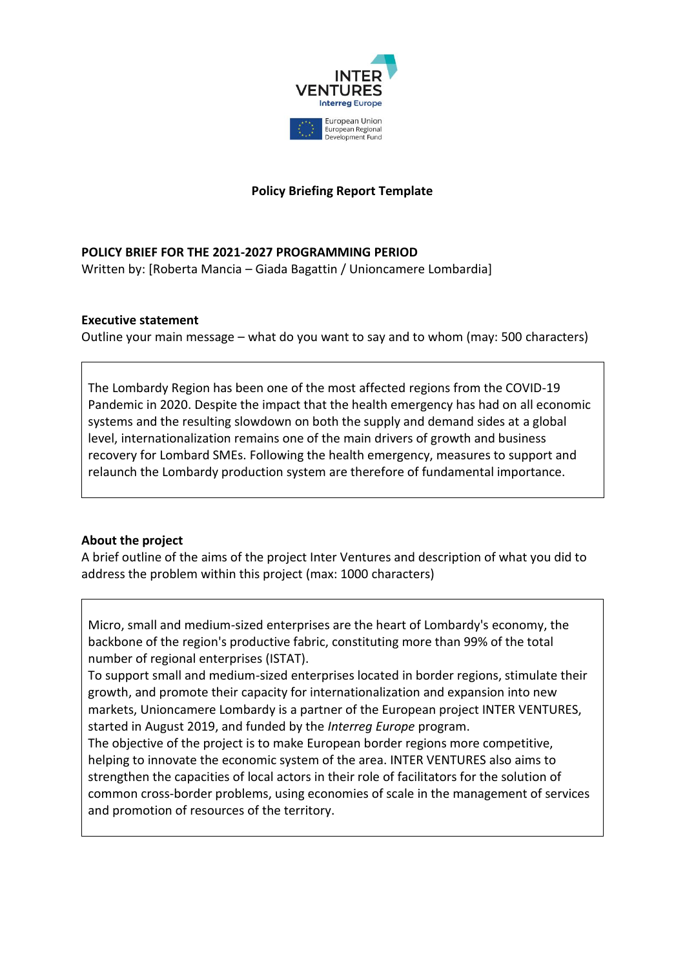

## **Policy Briefing Report Template**

#### **POLICY BRIEF FOR THE 2021-2027 PROGRAMMING PERIOD**

Written by: [Roberta Mancia – Giada Bagattin / Unioncamere Lombardia]

#### **Executive statement**

Outline your main message – what do you want to say and to whom (may: 500 characters)

The Lombardy Region has been one of the most affected regions from the COVID-19 Pandemic in 2020. Despite the impact that the health emergency has had on all economic systems and the resulting slowdown on both the supply and demand sides at a global level, internationalization remains one of the main drivers of growth and business recovery for Lombard SMEs. Following the health emergency, measures to support and relaunch the Lombardy production system are therefore of fundamental importance.

#### **About the project**

A brief outline of the aims of the project Inter Ventures and description of what you did to address the problem within this project (max: 1000 characters)

Micro, small and medium-sized enterprises are the heart of Lombardy's economy, the backbone of the region's productive fabric, constituting more than 99% of the total number of regional enterprises (ISTAT).

To support small and medium-sized enterprises located in border regions, stimulate their growth, and promote their capacity for internationalization and expansion into new markets, Unioncamere Lombardy is a partner of the European project INTER VENTURES, started in August 2019, and funded by the *Interreg Europe* program.

The objective of the project is to make European border regions more competitive, helping to innovate the economic system of the area. INTER VENTURES also aims to strengthen the capacities of local actors in their role of facilitators for the solution of common cross-border problems, using economies of scale in the management of services and promotion of resources of the territory.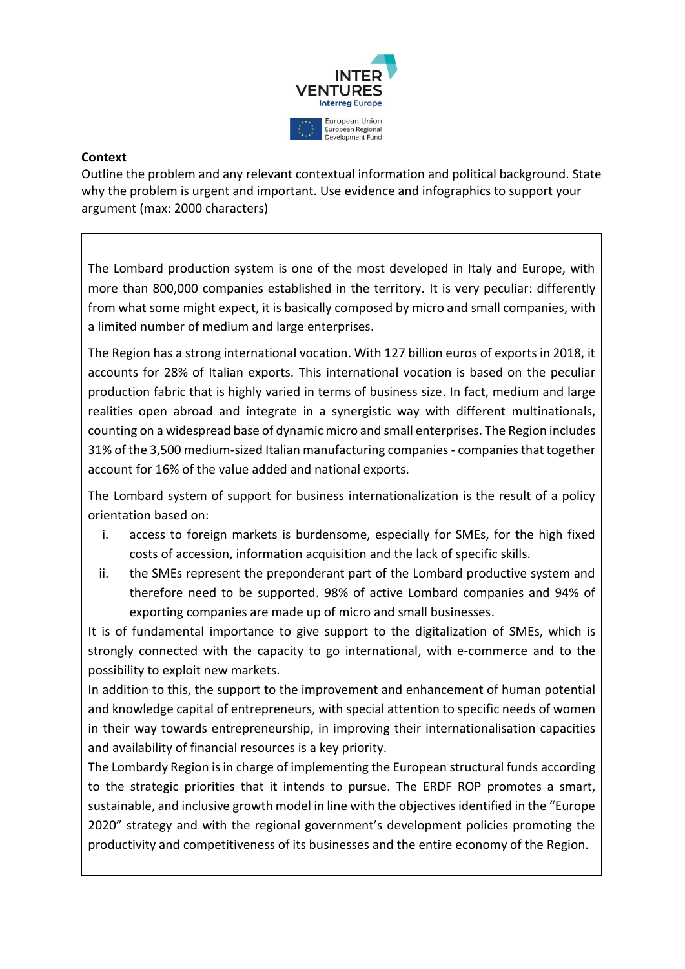

#### **Context**

Outline the problem and any relevant contextual information and political background. State why the problem is urgent and important. Use evidence and infographics to support your argument (max: 2000 characters)

The Lombard production system is one of the most developed in Italy and Europe, with more than 800,000 companies established in the territory. It is very peculiar: differently from what some might expect, it is basically composed by micro and small companies, with a limited number of medium and large enterprises.

The Region has a strong international vocation. With 127 billion euros of exports in 2018, it accounts for 28% of Italian exports. This international vocation is based on the peculiar production fabric that is highly varied in terms of business size. In fact, medium and large realities open abroad and integrate in a synergistic way with different multinationals, counting on a widespread base of dynamic micro and small enterprises. The Region includes 31% of the 3,500 medium-sized Italian manufacturing companies - companies that together account for 16% of the value added and national exports.

The Lombard system of support for business internationalization is the result of a policy orientation based on:

- i. access to foreign markets is burdensome, especially for SMEs, for the high fixed costs of accession, information acquisition and the lack of specific skills.
- ii. the SMEs represent the preponderant part of the Lombard productive system and therefore need to be supported. 98% of active Lombard companies and 94% of exporting companies are made up of micro and small businesses.

It is of fundamental importance to give support to the digitalization of SMEs, which is strongly connected with the capacity to go international, with e-commerce and to the possibility to exploit new markets.

In addition to this, the support to the improvement and enhancement of human potential and knowledge capital of entrepreneurs, with special attention to specific needs of women in their way towards entrepreneurship, in improving their internationalisation capacities and availability of financial resources is a key priority.

The Lombardy Region is in charge of implementing the European structural funds according to the strategic priorities that it intends to pursue. The ERDF ROP promotes a smart, sustainable, and inclusive growth model in line with the objectives identified in the "Europe 2020" strategy and with the regional government's development policies promoting the productivity and competitiveness of its businesses and the entire economy of the Region.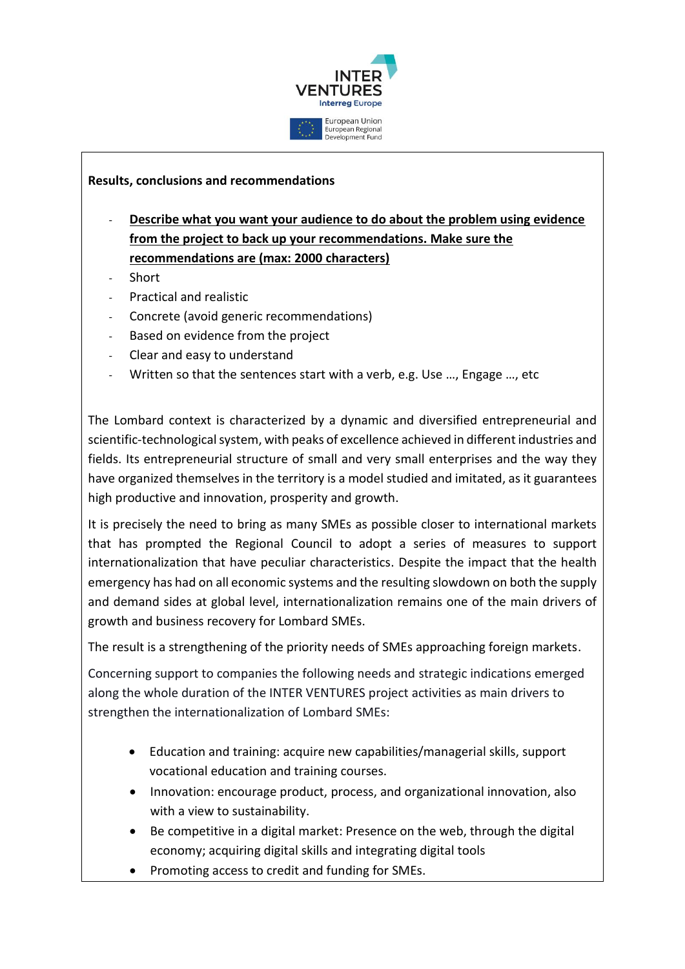

## **Results, conclusions and recommendations**

- **Describe what you want your audience to do about the problem using evidence from the project to back up your recommendations. Make sure the recommendations are (max: 2000 characters)**
- **Short**
- Practical and realistic
- Concrete (avoid generic recommendations)
- Based on evidence from the project
- Clear and easy to understand
- Written so that the sentences start with a verb, e.g. Use ..., Engage ..., etc

The Lombard context is characterized by a dynamic and diversified entrepreneurial and scientific-technological system, with peaks of excellence achieved in different industries and fields. Its entrepreneurial structure of small and very small enterprises and the way they have organized themselves in the territory is a model studied and imitated, as it guarantees high productive and innovation, prosperity and growth.

It is precisely the need to bring as many SMEs as possible closer to international markets that has prompted the Regional Council to adopt a series of measures to support internationalization that have peculiar characteristics. Despite the impact that the health emergency has had on all economic systems and the resulting slowdown on both the supply and demand sides at global level, internationalization remains one of the main drivers of growth and business recovery for Lombard SMEs.

The result is a strengthening of the priority needs of SMEs approaching foreign markets.

Concerning support to companies the following needs and strategic indications emerged along the whole duration of the INTER VENTURES project activities as main drivers to strengthen the internationalization of Lombard SMEs:

- Education and training: acquire new capabilities/managerial skills, support vocational education and training courses.
- Innovation: encourage product, process, and organizational innovation, also with a view to sustainability.
- Be competitive in a digital market: Presence on the web, through the digital economy; acquiring digital skills and integrating digital tools
- Promoting access to credit and funding for SMEs.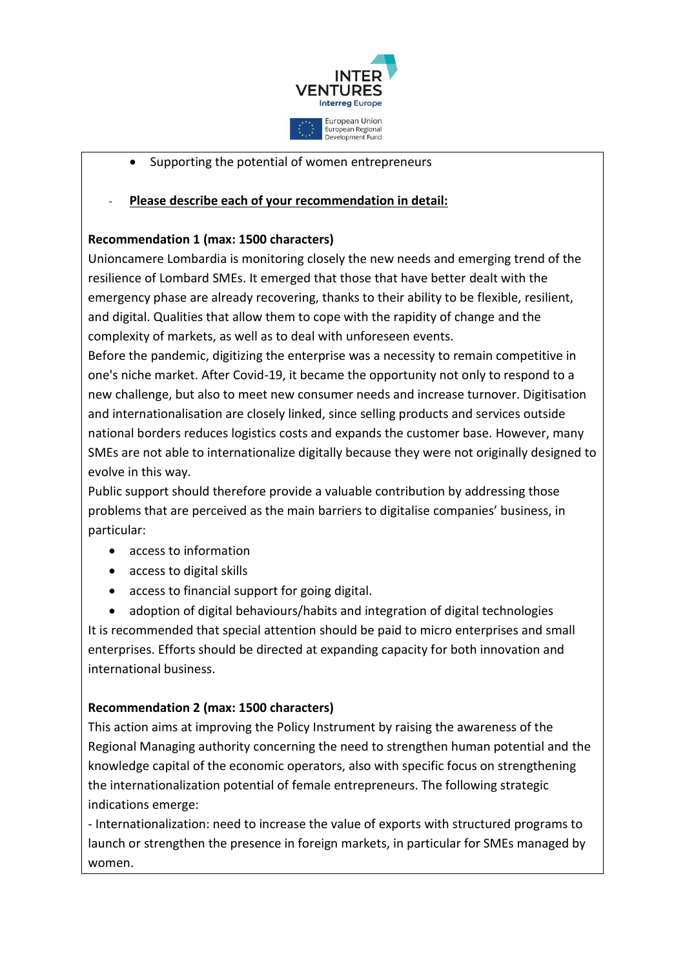

• Supporting the potential of women entrepreneurs

# - **Please describe each of your recommendation in detail:**

# **Recommendation 1 (max: 1500 characters)**

Unioncamere Lombardia is monitoring closely the new needs and emerging trend of the resilience of Lombard SMEs. It emerged that those that have better dealt with the emergency phase are already recovering, thanks to their ability to be flexible, resilient, and digital. Qualities that allow them to cope with the rapidity of change and the complexity of markets, as well as to deal with unforeseen events.

Before the pandemic, digitizing the enterprise was a necessity to remain competitive in one's niche market. After Covid-19, it became the opportunity not only to respond to a new challenge, but also to meet new consumer needs and increase turnover. Digitisation and internationalisation are closely linked, since selling products and services outside national borders reduces logistics costs and expands the customer base. However, many SMEs are not able to internationalize digitally because they were not originally designed to evolve in this way.

Public support should therefore provide a valuable contribution by addressing those problems that are perceived as the main barriers to digitalise companies' business, in particular:

- access to information
- access to digital skills
- access to financial support for going digital.

 adoption of digital behaviours/habits and integration of digital technologies It is recommended that special attention should be paid to micro enterprises and small enterprises. Efforts should be directed at expanding capacity for both innovation and international business.

## **Recommendation 2 (max: 1500 characters)**

This action aims at improving the Policy Instrument by raising the awareness of the Regional Managing authority concerning the need to strengthen human potential and the knowledge capital of the economic operators, also with specific focus on strengthening the internationalization potential of female entrepreneurs. The following strategic indications emerge:

- Internationalization: need to increase the value of exports with structured programs to launch or strengthen the presence in foreign markets, in particular for SMEs managed by women.